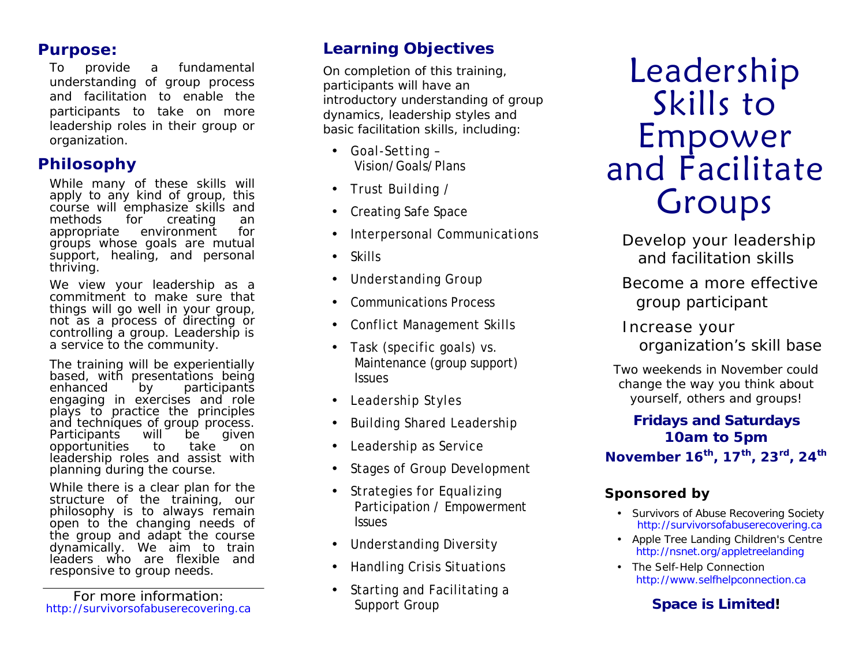#### **Purpose:**

To provide a fundamental understanding of group process and facilitation to enable the participants to take on more leadership roles in their group or organization.

## **Philosophy**

While many of these skills will apply to any kind of group, this course will emphasize skills and methods for creating an appropriate environment for groups whose goals are mutual support, healing, and personal thriving.

We view your leadership as a commitment to make sure that things will go well in your group, not as a process of directing or controlling a group. Leadership is a service to the community.

The training will be experientially based, with presentations being<br>enhanced by participants participants engaging in exercises and role plays to practice the principles and techniques of group process.<br>Participants will be given Participants will be given opportunities to take on leadership roles and assist with planning during the course.

While there is a clear plan for the structure of the training, our philosophy is to always remain open to the changing needs of the group and adapt the course dynamically. We aim to train leaders who are flexible and responsive to group needs.

For more information: http://survivorsofabuserecovering.ca

## **Learning Objectives**

On completion of this training, participants will have an introductory understanding of group dynamics, leadership styles and basic facilitation skills, including:

- Goal-Setting Vision/Goals/Plans
- Trust Building /
- Creating Safe Space
- Interpersonal Communications
- Skills
- Understanding Group
- Communications Process
- Conflict Management Skills
- Task (specific goals) vs. Maintenance (group support) **Issues**
- Leadership Styles
- Building Shared Leadership
- Leadership as Service
- Stages of Group Development
- Strategies for Equalizing Participation / Empowerment Issues
- Understanding Diversity
- Handling Crisis Situations
- Starting and Facilitating a Support Group

# Leadership Skills to Empower and Facilitate Groups

 Develop your leadership and facilitation skills

 Become a more effective group participant

 Increase your organization's skill base

Two weekends in November could change the way you think about yourself, others and groups!

*Fridays and Saturdays 10am to 5pm* **November 16th , 17th , 23rd, 24th**

## **Sponsored by**

- Survivors of Abuse Recovering Society http://survivorsofabuserecovering.ca
- Apple Tree Landing Children's Centre http://nsnet.org/appletreelanding
- The Self-Help Connection http://www.selfhelpconnection.ca

## *Space is Limited!*